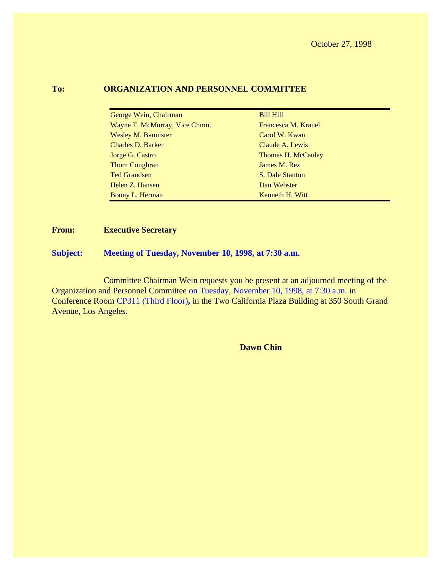#### **To: ORGANIZATION AND PERSONNEL COMMITTEE**

| George Wein, Chairman         | <b>Bill Hill</b>    |
|-------------------------------|---------------------|
| Wayne T. McMurray, Vice Chmn. | Francesca M. Krauel |
| <b>Wesley M. Bannister</b>    | Carol W. Kwan       |
| <b>Charles D. Barker</b>      | Claude A. Lewis     |
| Jorge G. Castro               | Thomas H. McCauley  |
| <b>Thom Coughran</b>          | James M. Rez        |
| <b>Ted Grandsen</b>           | S. Dale Stanton     |
| Helen Z. Hansen               | Dan Webster         |
| Bonny L. Herman               | Kenneth H. Witt     |

#### **From: Executive Secretary**

#### **Subject: Meeting of Tuesday, November 10, 1998, at 7:30 a.m.**

Committee Chairman Wein requests you be present at an adjourned meeting of the Organization and Personnel Committee on Tuesday, November 10, 1998, at 7:30 a.m. in Conference Room CP311 (Third Floor)**,** in the Two California Plaza Building at 350 South Grand Avenue, Los Angeles.

**Dawn Chin**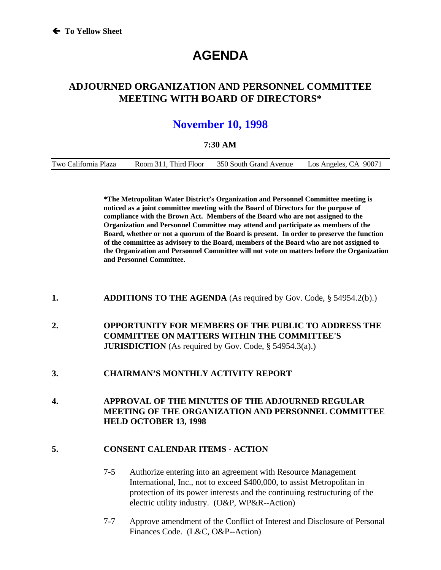# **AGENDA**

### **ADJOURNED ORGANIZATION AND PERSONNEL COMMITTEE MEETING WITH BOARD OF DIRECTORS\***

## **November 10, 1998**

#### **7:30 AM**

| Two California Plaza  | Los Angeles, CA 90071  |
|-----------------------|------------------------|
| Room 311, Third Floor | 350 South Grand Avenue |

**\*The Metropolitan Water District's Organization and Personnel Committee meeting is noticed as a joint committee meeting with the Board of Directors for the purpose of compliance with the Brown Act. Members of the Board who are not assigned to the Organization and Personnel Committee may attend and participate as members of the Board, whether or not a quorum of the Board is present. In order to preserve the function of the committee as advisory to the Board, members of the Board who are not assigned to the Organization and Personnel Committee will not vote on matters before the Organization and Personnel Committee.**

- **1. ADDITIONS TO THE AGENDA** (As required by Gov. Code, § 54954.2(b).)
- **2. OPPORTUNITY FOR MEMBERS OF THE PUBLIC TO ADDRESS THE COMMITTEE ON MATTERS WITHIN THE COMMITTEE'S JURISDICTION** (As required by Gov. Code, § 54954.3(a).)
- **3. CHAIRMAN'S MONTHLY ACTIVITY REPORT**
- **4. APPROVAL OF THE MINUTES OF THE ADJOURNED REGULAR MEETING OF THE ORGANIZATION AND PERSONNEL COMMITTEE HELD OCTOBER 13, 1998**

#### **5. CONSENT CALENDAR ITEMS - ACTION**

- 7-5 Authorize entering into an agreement with Resource Management International, Inc., not to exceed \$400,000, to assist Metropolitan in protection of its power interests and the continuing restructuring of the electric utility industry. (O&P, WP&R--Action)
- 7-7 Approve amendment of the Conflict of Interest and Disclosure of Personal Finances Code. (L&C, O&P--Action)